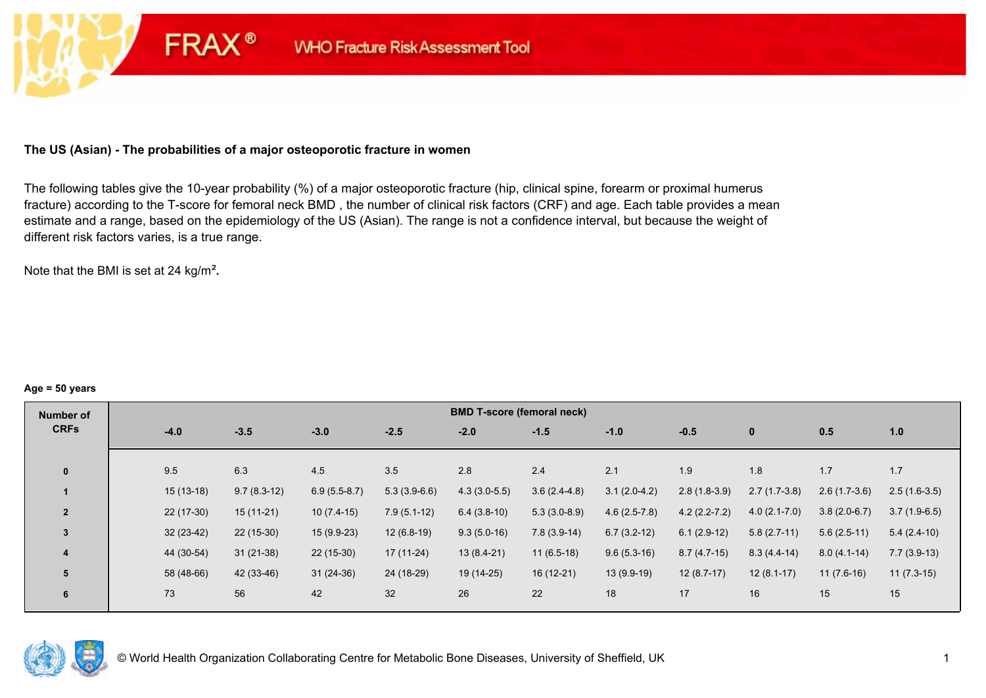# **The US (Asian) - The probabilities of a major osteoporotic fracture in women**

**FRAX®** 

The following tables give the 10-year probability (%) of a major osteoporotic fracture (hip, clinical spine, forearm or proximal humerus fracture) according to the T-score for femoral neck BMD , the number of clinical risk factors (CRF) and age. Each table provides a mean estimate and a range, based on the epidemiology of the US (Asian). The range is not a confidence interval, but because the weight of different risk factors varies, is a true range.

Note that the BMI is set at 24 kg/m²**.** 

#### **Age = 50 years**

| Number of      |             |               |                |                | <b>BMD T-score (femoral neck)</b> |                |                |                  |                |                |                |
|----------------|-------------|---------------|----------------|----------------|-----------------------------------|----------------|----------------|------------------|----------------|----------------|----------------|
| <b>CRFs</b>    | $-4.0$      | $-3.5$        | $-3.0$         | $-2.5$         | $-2.0$                            | $-1.5$         | $-1.0$         | $-0.5$           | $\mathbf{0}$   | 0.5            | 1.0            |
|                |             |               |                |                |                                   |                |                |                  |                |                |                |
| $\mathbf{0}$   | 9.5         | 6.3           | 4.5            | 3.5            | 2.8                               | 2.4            | 2.1            | 1.9              | 1.8            | 1.7            | 1.7            |
|                | $15(13-18)$ | $9.7(8.3-12)$ | $6.9(5.5-8.7)$ | $5.3(3.9-6.6)$ | $4.3(3.0-5.5)$                    | $3.6(2.4-4.8)$ | $3.1(2.0-4.2)$ | $2.8(1.8-3.9)$   | $2.7(1.7-3.8)$ | $2.6(1.7-3.6)$ | $2.5(1.6-3.5)$ |
| $\overline{2}$ | $22(17-30)$ | $15(11-21)$   | $10(7.4-15)$   | $7.9(5.1-12)$  | $6.4(3.8-10)$                     | $5.3(3.0-8.9)$ | $4.6(2.5-7.8)$ | $4.2(2.2 - 7.2)$ | $4.0(2.1-7.0)$ | $3.8(2.0-6.7)$ | $3.7(1.9-6.5)$ |
| $\overline{3}$ | $32(23-42)$ | $22(15-30)$   | $15(9.9-23)$   | $12(6.8-19)$   | $9.3(5.0-16)$                     | $7.8(3.9-14)$  | $6.7(3.2-12)$  | $6.1(2.9-12)$    | $5.8(2.7-11)$  | $5.6(2.5-11)$  | $5.4(2.4-10)$  |
| 4              | 44 (30-54)  | $31(21-38)$   | $22(15-30)$    | $17(11-24)$    | $13(8.4-21)$                      | $11(6.5-18)$   | $9.6(5.3-16)$  | $8.7(4.7-15)$    | $8.3(4.4-14)$  | $8.0(4.1-14)$  | $7.7(3.9-13)$  |
| 5              | 58 (48-66)  | 42 (33-46)    | $31(24-36)$    | 24 (18-29)     | 19 (14-25)                        | $16(12-21)$    | 13 (9.9-19)    | $12(8.7-17)$     | $12(8.1-17)$   | $11(7.6-16)$   | $11(7.3-15)$   |
| 6              | 73          | 56            | 42             | 32             | 26                                | 22             | 18             | 17               | 16             | 15             | 15             |

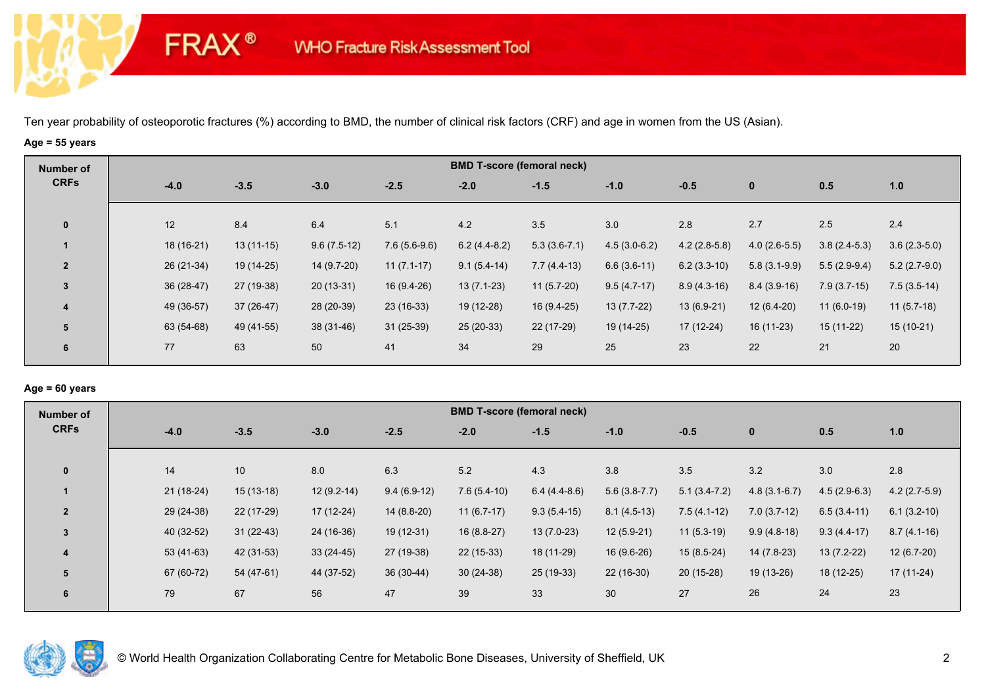# **Age = 55 years**

**FRAX®** 

| Number of      |             |             |               |                | <b>BMD T-score (femoral neck)</b> |                |                |                |                |                |                |
|----------------|-------------|-------------|---------------|----------------|-----------------------------------|----------------|----------------|----------------|----------------|----------------|----------------|
| <b>CRFs</b>    | $-4.0$      | $-3.5$      | $-3.0$        | $-2.5$         | $-2.0$                            | $-1.5$         | $-1.0$         | $-0.5$         | $\mathbf 0$    | 0.5            | 1.0            |
| $\mathbf 0$    | 12          | 8.4         | 6.4           | 5.1            | 4.2                               | 3.5            | 3.0            | 2.8            | 2.7            | 2.5            | 2.4            |
|                | 18 (16-21)  | $13(11-15)$ | $9.6(7.5-12)$ | $7.6(5.6-9.6)$ | $6.2(4.4-8.2)$                    | $5.3(3.6-7.1)$ | $4.5(3.0-6.2)$ | $4.2(2.8-5.8)$ | $4.0(2.6-5.5)$ | $3.8(2.4-5.3)$ | $3.6(2.3-5.0)$ |
| $\overline{2}$ | 26 (21-34)  | 19 (14-25)  | 14 (9.7-20)   | $11(7.1-17)$   | $9.1(5.4-14)$                     | $7.7(4.4-13)$  | $6.6(3.6-11)$  | $6.2(3.3-10)$  | $5.8(3.1-9.9)$ | $5.5(2.9-9.4)$ | $5.2(2.7-9.0)$ |
| $\mathbf{3}$   | $36(28-47)$ | 27 (19-38)  | $20(13-31)$   | $16(9.4-26)$   | $13(7.1-23)$                      | $11(5.7-20)$   | $9.5(4.7-17)$  | $8.9(4.3-16)$  | $8.4(3.9-16)$  | $7.9(3.7-15)$  | $7.5(3.5-14)$  |
| 4              | 49 (36-57)  | $37(26-47)$ | 28 (20-39)    | $23(16-33)$    | 19 (12-28)                        | $16(9.4-25)$   | $13(7.7-22)$   | $13(6.9-21)$   | $12(6.4-20)$   | $11(6.0-19)$   | $11(5.7-18)$   |
| 5              | 63 (54-68)  | 49 (41-55)  | 38 (31-46)    | $31(25-39)$    | $25(20-33)$                       | 22 (17-29)     | 19 (14-25)     | $17(12-24)$    | $16(11-23)$    | $15(11-22)$    | $15(10-21)$    |
| 6              | 77          | 63          | 50            | 41             | 34                                | 29             | 25             | 23             | 22             | 21             | 20             |

# **Age = 60 years**

| Number of      |             |             |              |               |               | <b>BMD T-score (femoral neck)</b> |                |                |                |                |                |
|----------------|-------------|-------------|--------------|---------------|---------------|-----------------------------------|----------------|----------------|----------------|----------------|----------------|
| <b>CRFs</b>    | $-4.0$      | $-3.5$      | $-3.0$       | $-2.5$        | $-2.0$        | $-1.5$                            | $-1.0$         | $-0.5$         | $\mathbf{0}$   | 0.5            | 1.0            |
|                |             |             |              |               |               |                                   |                |                |                |                |                |
| $\mathbf{0}$   | 14          | 10          | 8.0          | 6.3           | 5.2           | 4.3                               | 3.8            | 3.5            | 3.2            | 3.0            | 2.8            |
|                | $21(18-24)$ | $15(13-18)$ | $12(9.2-14)$ | $9.4(6.9-12)$ | $7.6(5.4-10)$ | $6.4(4.4-8.6)$                    | $5.6(3.8-7.7)$ | $5.1(3.4-7.2)$ | $4.8(3.1-6.7)$ | $4.5(2.9-6.3)$ | $4.2(2.7-5.9)$ |
| $\overline{2}$ | 29 (24-38)  | 22 (17-29)  | $17(12-24)$  | $14(8.8-20)$  | $11(6.7-17)$  | $9.3(5.4-15)$                     | $8.1(4.5-13)$  | $7.5(4.1-12)$  | $7.0(3.7-12)$  | $6.5(3.4-11)$  | $6.1(3.2-10)$  |
| 3              | 40 (32-52)  | $31(22-43)$ | 24 (16-36)   | $19(12-31)$   | $16(8.8-27)$  | $13(7.0-23)$                      | $12(5.9-21)$   | $11(5.3-19)$   | $9.9(4.8-18)$  | $9.3(4.4-17)$  | $8.7(4.1-16)$  |
| 4              | $53(41-63)$ | 42 (31-53)  | $33(24-45)$  | 27 (19-38)    | $22(15-33)$   | 18 (11-29)                        | 16 (9.6-26)    | $15(8.5-24)$   | $14(7.8-23)$   | $13(7.2-22)$   | $12(6.7-20)$   |
| 5              | 67 (60-72)  | 54 (47-61)  | 44 (37-52)   | $36(30-44)$   | $30(24-38)$   | $25(19-33)$                       | $22(16-30)$    | $20(15-28)$    | $19(13-26)$    | 18 (12-25)     | $17(11-24)$    |
| 6              | 79          | 67          | 56           | 47            | 39            | 33                                | 30             | 27             | 26             | 24             | 23             |
|                |             |             |              |               |               |                                   |                |                |                |                |                |

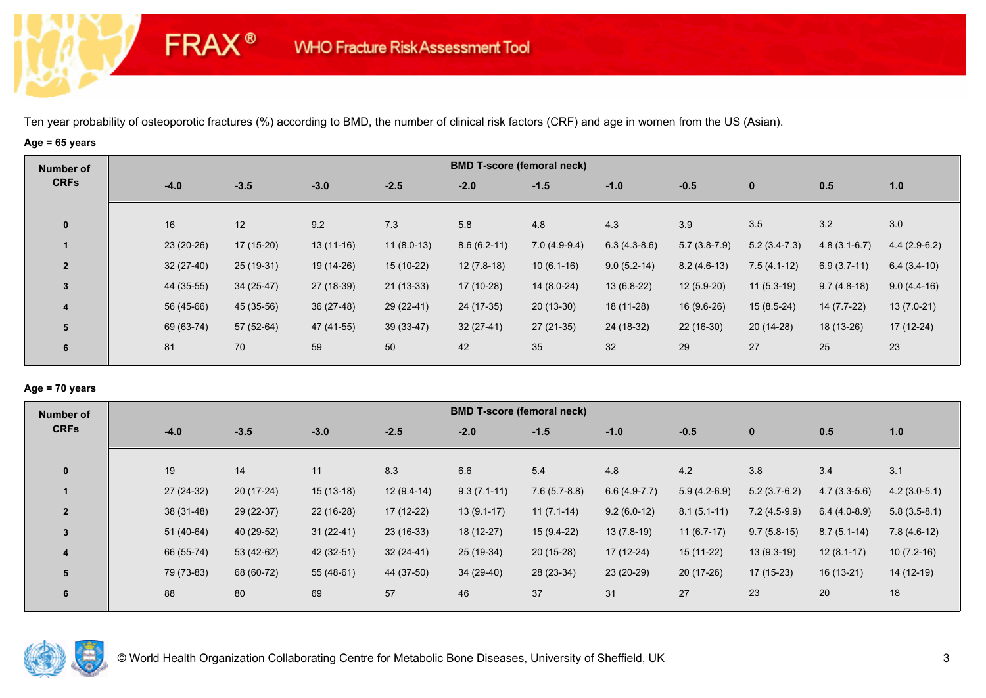# **Age = 65 years**

**FRAX®** 

| Number of      |             |             |             |              |               | <b>BMD T-score (femoral neck)</b> |                |                |                |                |                |
|----------------|-------------|-------------|-------------|--------------|---------------|-----------------------------------|----------------|----------------|----------------|----------------|----------------|
| <b>CRFs</b>    | $-4.0$      | $-3.5$      | $-3.0$      | $-2.5$       | $-2.0$        | $-1.5$                            | $-1.0$         | $-0.5$         | $\mathbf 0$    | 0.5            | 1.0            |
| $\mathbf 0$    | 16          | 12          | 9.2         | 7.3          | 5.8           | 4.8                               | 4.3            | 3.9            | 3.5            | 3.2            | 3.0            |
|                | 23 (20-26)  | $17(15-20)$ | $13(11-16)$ | $11(8.0-13)$ | $8.6(6.2-11)$ | $7.0(4.9-9.4)$                    | $6.3(4.3-8.6)$ | $5.7(3.8-7.9)$ | $5.2(3.4-7.3)$ | $4.8(3.1-6.7)$ | $4.4(2.9-6.2)$ |
| $\overline{2}$ | $32(27-40)$ | $25(19-31)$ | 19 (14-26)  | 15 (10-22)   | $12(7.8-18)$  | $10(6.1-16)$                      | $9.0(5.2-14)$  | $8.2(4.6-13)$  | $7.5(4.1-12)$  | $6.9(3.7-11)$  | $6.4(3.4-10)$  |
| $\overline{3}$ | 44 (35-55)  | $34(25-47)$ | 27 (18-39)  | $21(13-33)$  | 17 (10-28)    | $14(8.0-24)$                      | $13(6.8-22)$   | $12(5.9-20)$   | $11(5.3-19)$   | $9.7(4.8-18)$  | $9.0(4.4-16)$  |
| 4              | 56 (45-66)  | 45 (35-56)  | $36(27-48)$ | 29 (22-41)   | 24 (17-35)    | $20(13-30)$                       | 18 (11-28)     | $16(9.6-26)$   | $15(8.5-24)$   | 14 (7.7-22)    | $13(7.0-21)$   |
| 5              | 69 (63-74)  | 57 (52-64)  | 47 (41-55)  | $39(33-47)$  | $32(27-41)$   | $27(21-35)$                       | 24 (18-32)     | 22 (16-30)     | $20(14-28)$    | 18 (13-26)     | $17(12-24)$    |
| 6              | 81          | 70          | 59          | 50           | 42            | 35                                | 32             | 29             | 27             | 25             | 23             |

### **Age = 70 years**

| Number of      |             |             |             |              |               | <b>BMD T-score (femoral neck)</b> |                |                |                |                |                |
|----------------|-------------|-------------|-------------|--------------|---------------|-----------------------------------|----------------|----------------|----------------|----------------|----------------|
| <b>CRFs</b>    | $-4.0$      | $-3.5$      | $-3.0$      | $-2.5$       | $-2.0$        | $-1.5$                            | $-1.0$         | $-0.5$         | $\mathbf 0$    | 0.5            | 1.0            |
|                |             |             |             |              |               |                                   |                |                |                |                |                |
| $\mathbf{0}$   | 19          | 14          | 11          | 8.3          | 6.6           | 5.4                               | 4.8            | 4.2            | 3.8            | 3.4            | 3.1            |
|                | 27 (24-32)  | $20(17-24)$ | $15(13-18)$ | $12(9.4-14)$ | $9.3(7.1-11)$ | $7.6(5.7-8.8)$                    | $6.6(4.9-7.7)$ | $5.9(4.2-6.9)$ | $5.2(3.7-6.2)$ | $4.7(3.3-5.6)$ | $4.2(3.0-5.1)$ |
| $\overline{2}$ | $38(31-48)$ | 29 (22-37)  | $22(16-28)$ | $17(12-22)$  | $13(9.1-17)$  | $11(7.1-14)$                      | $9.2(6.0-12)$  | $8.1(5.1-11)$  | $7.2(4.5-9.9)$ | $6.4(4.0-8.9)$ | $5.8(3.5-8.1)$ |
| $\overline{3}$ | $51(40-64)$ | 40 (29-52)  | $31(22-41)$ | $23(16-33)$  | 18 (12-27)    | $15(9.4-22)$                      | $13(7.8-19)$   | $11(6.7-17)$   | $9.7(5.8-15)$  | $8.7(5.1-14)$  | $7.8(4.6-12)$  |
| 4              | 66 (55-74)  | 53 (42-62)  | 42 (32-51)  | $32(24-41)$  | 25 (19-34)    | $20(15-28)$                       | 17 (12-24)     | 15 (11-22)     | $13(9.3-19)$   | $12(8.1-17)$   | $10(7.2-16)$   |
| 5              | 79 (73-83)  | 68 (60-72)  | $55(48-61)$ | 44 (37-50)   | 34 (29-40)    | 28 (23-34)                        | 23 (20-29)     | $20(17-26)$    | $17(15-23)$    | $16(13-21)$    | 14 (12-19)     |
| 6              | 88          | 80          | 69          | 57           | 46            | 37                                | 31             | 27             | 23             | 20             | 18             |
|                |             |             |             |              |               |                                   |                |                |                |                |                |

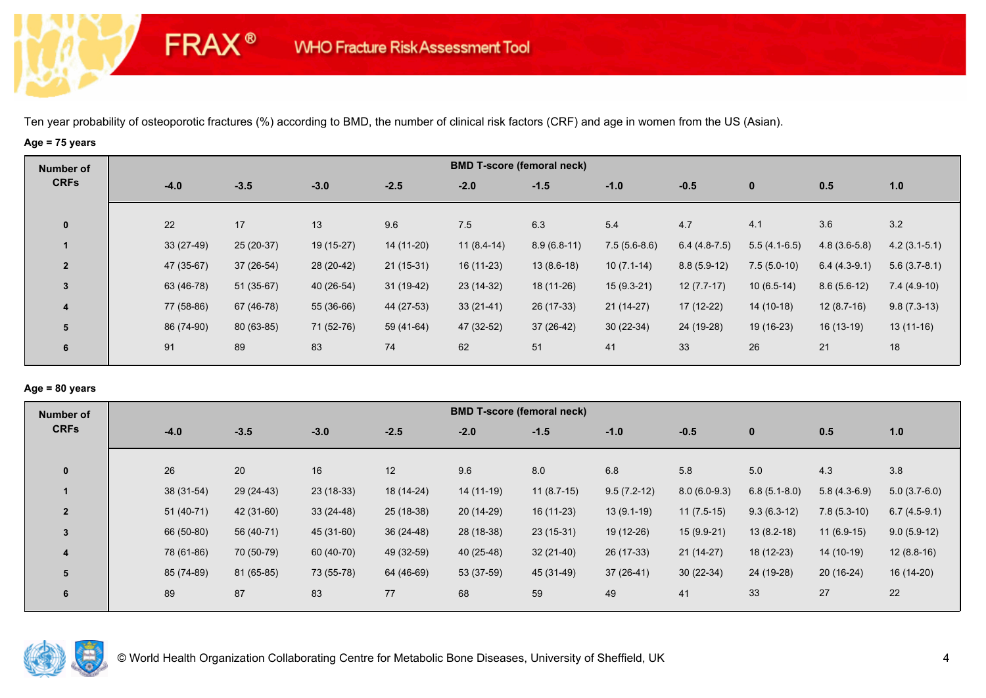# **Age = 75 years**

**FRAX®** 

| Number of      |        |             |             |            |             | <b>BMD T-score (femoral neck)</b> |               |                |                |                |                |                |
|----------------|--------|-------------|-------------|------------|-------------|-----------------------------------|---------------|----------------|----------------|----------------|----------------|----------------|
| <b>CRFs</b>    | $-4.0$ |             | $-3.5$      | $-3.0$     | $-2.5$      | $-2.0$                            | $-1.5$        | $-1.0$         | $-0.5$         | $\mathbf 0$    | 0.5            | 1.0            |
| $\mathbf 0$    | 22     | 17          |             | 13         | 9.6         | 7.5                               | 6.3           | 5.4            | 4.7            | 4.1            | 3.6            | 3.2            |
|                |        | $33(27-49)$ | $25(20-37)$ | 19 (15-27) | 14 (11-20)  | $11(8.4-14)$                      | $8.9(6.8-11)$ | $7.5(5.6-8.6)$ | $6.4(4.8-7.5)$ | $5.5(4.1-6.5)$ | $4.8(3.6-5.8)$ | $4.2(3.1-5.1)$ |
| $\overline{2}$ |        | 47 (35-67)  | $37(26-54)$ | 28 (20-42) | $21(15-31)$ | $16(11-23)$                       | $13(8.6-18)$  | $10(7.1-14)$   | $8.8(5.9-12)$  | $7.5(5.0-10)$  | $6.4(4.3-9.1)$ | $5.6(3.7-8.1)$ |
| 3              |        | 63 (46-78)  | $51(35-67)$ | 40 (26-54) | $31(19-42)$ | $23(14-32)$                       | 18 (11-26)    | $15(9.3-21)$   | $12(7.7-17)$   | $10(6.5-14)$   | $8.6(5.6-12)$  | $7.4(4.9-10)$  |
| 4              |        | 77 (58-86)  | 67 (46-78)  | 55 (36-66) | 44 (27-53)  | $33(21-41)$                       | 26 (17-33)    | $21(14-27)$    | $17(12-22)$    | $14(10-18)$    | $12(8.7-16)$   | $9.8(7.3-13)$  |
| 5              |        | 86 (74-90)  | 80 (63-85)  | 71 (52-76) | 59 (41-64)  | 47 (32-52)                        | 37 (26-42)    | $30(22-34)$    | 24 (19-28)     | 19 (16-23)     | $16(13-19)$    | $13(11-16)$    |
| 6              | 91     | 89          |             | 83         | 74          | 62                                | 51            | 41             | 33             | 26             | 21             | 18             |

# **Age = 80 years**

| Number of      |             |            |             |             |             | <b>BMD T-score (femoral neck)</b> |               |                |                |                |                |
|----------------|-------------|------------|-------------|-------------|-------------|-----------------------------------|---------------|----------------|----------------|----------------|----------------|
| <b>CRFs</b>    | $-4.0$      | $-3.5$     | $-3.0$      | $-2.5$      | $-2.0$      | $-1.5$                            | $-1.0$        | $-0.5$         | $\mathbf 0$    | 0.5            | 1.0            |
|                |             |            |             |             |             |                                   |               |                |                |                |                |
| $\mathbf{0}$   | 26          | 20         | 16          | 12          | 9.6         | 8.0                               | 6.8           | 5.8            | 5.0            | 4.3            | 3.8            |
|                | 38 (31-54)  | 29 (24-43) | $23(18-33)$ | 18 (14-24)  | 14 (11-19)  | $11(8.7-15)$                      | $9.5(7.2-12)$ | $8.0(6.0-9.3)$ | $6.8(5.1-8.0)$ | $5.8(4.3-6.9)$ | $5.0(3.7-6.0)$ |
| $\overline{2}$ | $51(40-71)$ | 42 (31-60) | $33(24-48)$ | $25(18-38)$ | $20(14-29)$ | $16(11-23)$                       | $13(9.1-19)$  | $11(7.5-15)$   | $9.3(6.3-12)$  | $7.8(5.3-10)$  | $6.7(4.5-9.1)$ |
| 3              | 66 (50-80)  | 56 (40-71) | 45 (31-60)  | $36(24-48)$ | 28 (18-38)  | $23(15-31)$                       | 19 (12-26)    | $15(9.9-21)$   | $13(8.2-18)$   | $11(6.9-15)$   | $9.0(5.9-12)$  |
| 4              | 78 (61-86)  | 70 (50-79) | 60 (40-70)  | 49 (32-59)  | 40 (25-48)  | $32(21-40)$                       | 26 (17-33)    | $21(14-27)$    | 18 (12-23)     | 14 (10-19)     | $12(8.8-16)$   |
| 5              | 85 (74-89)  | 81 (65-85) | 73 (55-78)  | 64 (46-69)  | 53 (37-59)  | 45 (31-49)                        | $37(26-41)$   | $30(22-34)$    | 24 (19-28)     | $20(16-24)$    | $16(14-20)$    |
| 6              | 89          | 87         | 83          | 77          | 68          | 59                                | 49            | 41             | 33             | 27             | 22             |
|                |             |            |             |             |             |                                   |               |                |                |                |                |